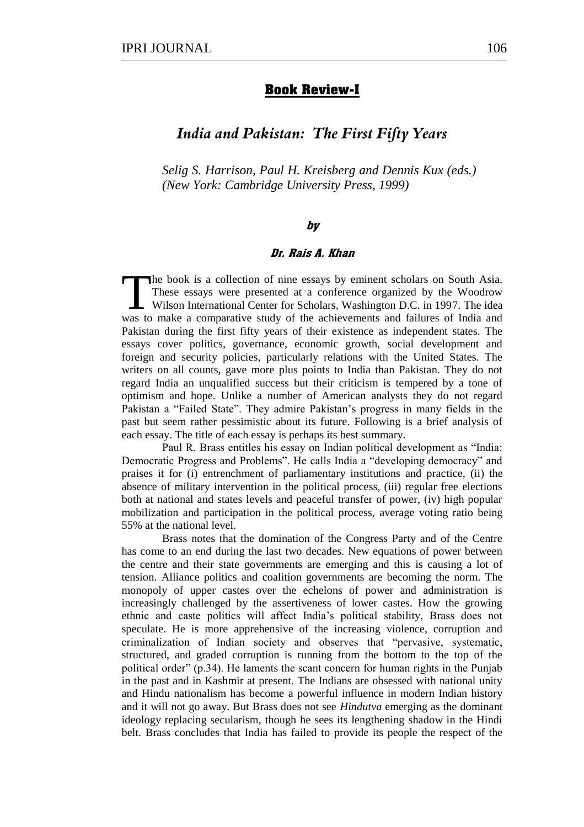## **Book Review-I**

# *India and Pakistan: The First Fifty Years*

*Selig S. Harrison, Paul H. Kreisberg and Dennis Kux (eds.) (New York: Cambridge University Press, 1999)*

## by

## Dr. Rais A. Khan

he book is a collection of nine essays by eminent scholars on South Asia. These essays were presented at a conference organized by the Woodrow Wilson International Center for Scholars, Washington D.C. in 1997. The idea The book is a collection of nine essays by eminent scholars on South Asia.<br>These essays were presented at a conference organized by the Woodrow<br>Wilson International Center for Scholars, Washington D.C. in 1997. The idea<br>wa Pakistan during the first fifty years of their existence as independent states. The essays cover politics, governance, economic growth, social development and foreign and security policies, particularly relations with the United States. The writers on all counts, gave more plus points to India than Pakistan. They do not regard India an unqualified success but their criticism is tempered by a tone of optimism and hope. Unlike a number of American analysts they do not regard Pakistan a "Failed State". They admire Pakistan's progress in many fields in the past but seem rather pessimistic about its future. Following is a brief analysis of each essay. The title of each essay is perhaps its best summary.

Paul R. Brass entitles his essay on Indian political development as "India: Democratic Progress and Problems". He calls India a "developing democracy" and praises it for (i) entrenchment of parliamentary institutions and practice, (ii) the absence of military intervention in the political process, (iii) regular free elections both at national and states levels and peaceful transfer of power, (iv) high popular mobilization and participation in the political process, average voting ratio being 55% at the national level.

Brass notes that the domination of the Congress Party and of the Centre has come to an end during the last two decades. New equations of power between the centre and their state governments are emerging and this is causing a lot of tension. Alliance politics and coalition governments are becoming the norm. The monopoly of upper castes over the echelons of power and administration is increasingly challenged by the assertiveness of lower castes. How the growing ethnic and caste politics will affect India's political stability, Brass does not speculate. He is more apprehensive of the increasing violence, corruption and criminalization of Indian society and observes that "pervasive, systematic, structured, and graded corruption is running from the bottom to the top of the political order"  $(p.34)$ . He laments the scant concern for human rights in the Punjab in the past and in Kashmir at present. The Indians are obsessed with national unity and Hindu nationalism has become a powerful influence in modern Indian history and it will not go away. But Brass does not see *Hindutva* emerging as the dominant ideology replacing secularism, though he sees its lengthening shadow in the Hindi belt. Brass concludes that India has failed to provide its people the respect of the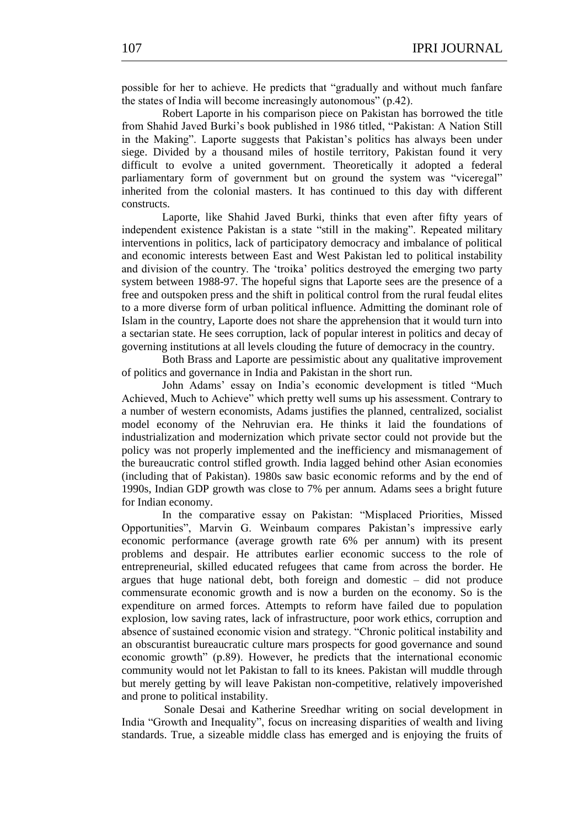possible for her to achieve. He predicts that "gradually and without much fanfare the states of India will become increasingly autonomous"  $(p.42)$ .

Robert Laporte in his comparison piece on Pakistan has borrowed the title from Shahid Javed Burki's book published in 1986 titled, "Pakistan: A Nation Still in the Making". Laporte suggests that Pakistan's politics has always been under siege. Divided by a thousand miles of hostile territory, Pakistan found it very difficult to evolve a united government. Theoretically it adopted a federal parliamentary form of government but on ground the system was "viceregal" inherited from the colonial masters. It has continued to this day with different constructs.

Laporte, like Shahid Javed Burki, thinks that even after fifty years of independent existence Pakistan is a state "still in the making". Repeated military interventions in politics, lack of participatory democracy and imbalance of political and economic interests between East and West Pakistan led to political instability and division of the country. The 'troika' politics destroyed the emerging two party system between 1988-97. The hopeful signs that Laporte sees are the presence of a free and outspoken press and the shift in political control from the rural feudal elites to a more diverse form of urban political influence. Admitting the dominant role of Islam in the country, Laporte does not share the apprehension that it would turn into a sectarian state. He sees corruption, lack of popular interest in politics and decay of governing institutions at all levels clouding the future of democracy in the country.

Both Brass and Laporte are pessimistic about any qualitative improvement of politics and governance in India and Pakistan in the short run.

John Adams' essay on India's economic development is titled "Much" Achieved, Much to Achieve" which pretty well sums up his assessment. Contrary to a number of western economists, Adams justifies the planned, centralized, socialist model economy of the Nehruvian era. He thinks it laid the foundations of industrialization and modernization which private sector could not provide but the policy was not properly implemented and the inefficiency and mismanagement of the bureaucratic control stifled growth. India lagged behind other Asian economies (including that of Pakistan). 1980s saw basic economic reforms and by the end of 1990s, Indian GDP growth was close to 7% per annum. Adams sees a bright future for Indian economy.

In the comparative essay on Pakistan: "Misplaced Priorities, Missed Opportunities", Marvin G. Weinbaum compares Pakistan's impressive early economic performance (average growth rate 6% per annum) with its present problems and despair. He attributes earlier economic success to the role of entrepreneurial, skilled educated refugees that came from across the border. He argues that huge national debt, both foreign and domestic – did not produce commensurate economic growth and is now a burden on the economy. So is the expenditure on armed forces. Attempts to reform have failed due to population explosion, low saving rates, lack of infrastructure, poor work ethics, corruption and absence of sustained economic vision and strategy. ―Chronic political instability and an obscurantist bureaucratic culture mars prospects for good governance and sound economic growth" (p.89). However, he predicts that the international economic community would not let Pakistan to fall to its knees. Pakistan will muddle through but merely getting by will leave Pakistan non-competitive, relatively impoverished and prone to political instability.

 Sonale Desai and Katherine Sreedhar writing on social development in India "Growth and Inequality", focus on increasing disparities of wealth and living standards. True, a sizeable middle class has emerged and is enjoying the fruits of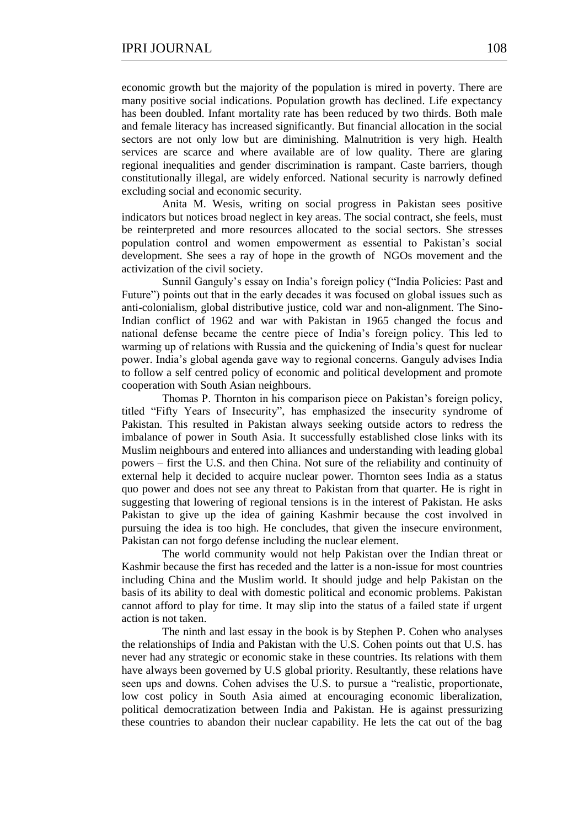economic growth but the majority of the population is mired in poverty. There are many positive social indications. Population growth has declined. Life expectancy has been doubled. Infant mortality rate has been reduced by two thirds. Both male and female literacy has increased significantly. But financial allocation in the social sectors are not only low but are diminishing. Malnutrition is very high. Health services are scarce and where available are of low quality. There are glaring regional inequalities and gender discrimination is rampant. Caste barriers, though constitutionally illegal, are widely enforced. National security is narrowly defined excluding social and economic security.

Anita M. Wesis, writing on social progress in Pakistan sees positive indicators but notices broad neglect in key areas. The social contract, she feels, must be reinterpreted and more resources allocated to the social sectors. She stresses population control and women empowerment as essential to Pakistan's social development. She sees a ray of hope in the growth of NGOs movement and the activization of the civil society.

Sunnil Ganguly's essay on India's foreign policy ("India Policies: Past and Future") points out that in the early decades it was focused on global issues such as anti-colonialism, global distributive justice, cold war and non-alignment. The Sino-Indian conflict of 1962 and war with Pakistan in 1965 changed the focus and national defense became the centre piece of India's foreign policy. This led to warming up of relations with Russia and the quickening of India's quest for nuclear power. India's global agenda gave way to regional concerns. Ganguly advises India to follow a self centred policy of economic and political development and promote cooperation with South Asian neighbours.

Thomas P. Thornton in his comparison piece on Pakistan's foreign policy, titled "Fifty Years of Insecurity", has emphasized the insecurity syndrome of Pakistan. This resulted in Pakistan always seeking outside actors to redress the imbalance of power in South Asia. It successfully established close links with its Muslim neighbours and entered into alliances and understanding with leading global powers – first the U.S. and then China. Not sure of the reliability and continuity of external help it decided to acquire nuclear power. Thornton sees India as a status quo power and does not see any threat to Pakistan from that quarter. He is right in suggesting that lowering of regional tensions is in the interest of Pakistan. He asks Pakistan to give up the idea of gaining Kashmir because the cost involved in pursuing the idea is too high. He concludes, that given the insecure environment, Pakistan can not forgo defense including the nuclear element.

The world community would not help Pakistan over the Indian threat or Kashmir because the first has receded and the latter is a non-issue for most countries including China and the Muslim world. It should judge and help Pakistan on the basis of its ability to deal with domestic political and economic problems. Pakistan cannot afford to play for time. It may slip into the status of a failed state if urgent action is not taken.

The ninth and last essay in the book is by Stephen P. Cohen who analyses the relationships of India and Pakistan with the U.S. Cohen points out that U.S. has never had any strategic or economic stake in these countries. Its relations with them have always been governed by U.S global priority. Resultantly, these relations have seen ups and downs. Cohen advises the U.S. to pursue a "realistic, proportionate, low cost policy in South Asia aimed at encouraging economic liberalization, political democratization between India and Pakistan. He is against pressurizing these countries to abandon their nuclear capability. He lets the cat out of the bag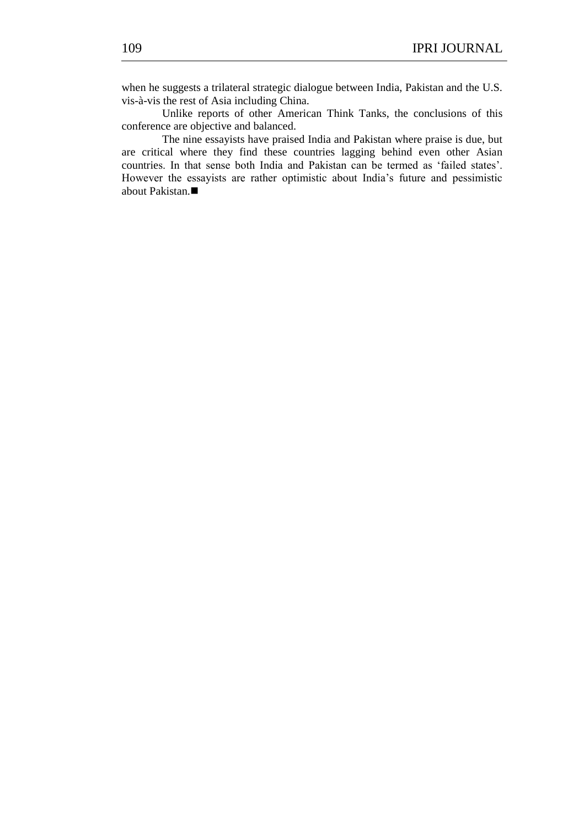when he suggests a trilateral strategic dialogue between India, Pakistan and the U.S. vis-à-vis the rest of Asia including China.

Unlike reports of other American Think Tanks, the conclusions of this conference are objective and balanced.

The nine essayists have praised India and Pakistan where praise is due, but are critical where they find these countries lagging behind even other Asian countries. In that sense both India and Pakistan can be termed as 'failed states'. However the essayists are rather optimistic about India's future and pessimistic about Pakistan.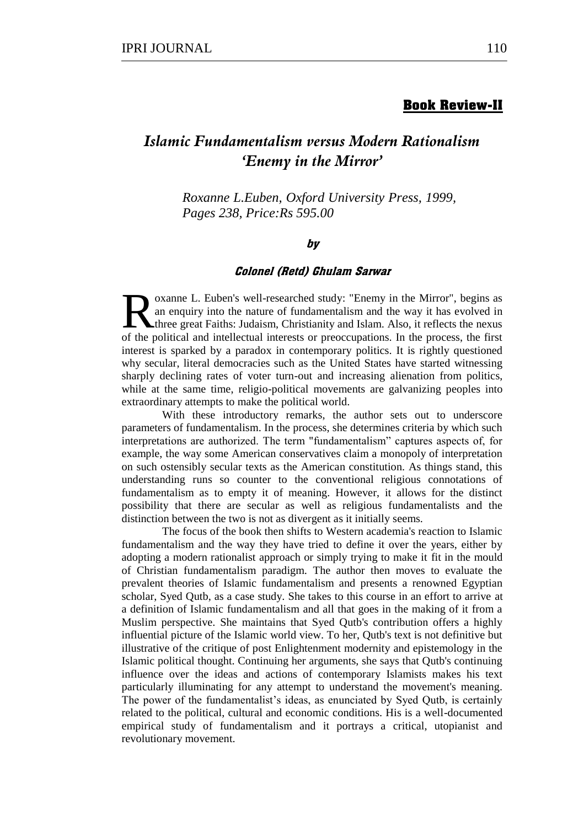## **Book Review-II**

# *Islamic Fundamentalism versus Modern Rationalism 'Enemy in the Mirror'*

*Roxanne L.Euben, Oxford University Press, 1999, Pages 238, Price:Rs 595.00*

## by

#### Colonel (Retd) Ghulam Sarwar

oxanne L. Euben's well-researched study: "Enemy in the Mirror", begins as an enquiry into the nature of fundamentalism and the way it has evolved in three great Faiths: Judaism, Christianity and Islam. Also, it reflects the nexus **EXECUTE:** The political and intellectual interests or preoccupations. In the process, the first of the political and intellectual interests or preoccupations. In the process, the first  $\frac{1}{n}$ interest is sparked by a paradox in contemporary politics. It is rightly questioned why secular, literal democracies such as the United States have started witnessing sharply declining rates of voter turn-out and increasing alienation from politics, while at the same time, religio-political movements are galvanizing peoples into extraordinary attempts to make the political world.

With these introductory remarks, the author sets out to underscore parameters of fundamentalism. In the process, she determines criteria by which such interpretations are authorized. The term "fundamentalism" captures aspects of, for example, the way some American conservatives claim a monopoly of interpretation on such ostensibly secular texts as the American constitution. As things stand, this understanding runs so counter to the conventional religious connotations of fundamentalism as to empty it of meaning. However, it allows for the distinct possibility that there are secular as well as religious fundamentalists and the distinction between the two is not as divergent as it initially seems.

The focus of the book then shifts to Western academia's reaction to Islamic fundamentalism and the way they have tried to define it over the years, either by adopting a modern rationalist approach or simply trying to make it fit in the mould of Christian fundamentalism paradigm. The author then moves to evaluate the prevalent theories of Islamic fundamentalism and presents a renowned Egyptian scholar, Syed Qutb, as a case study. She takes to this course in an effort to arrive at a definition of Islamic fundamentalism and all that goes in the making of it from a Muslim perspective. She maintains that Syed Qutb's contribution offers a highly influential picture of the Islamic world view. To her, Qutb's text is not definitive but illustrative of the critique of post Enlightenment modernity and epistemology in the Islamic political thought. Continuing her arguments, she says that Qutb's continuing influence over the ideas and actions of contemporary Islamists makes his text particularly illuminating for any attempt to understand the movement's meaning. The power of the fundamentalist's ideas, as enunciated by Syed Qutb, is certainly related to the political, cultural and economic conditions. His is a well-documented empirical study of fundamentalism and it portrays a critical, utopianist and revolutionary movement.